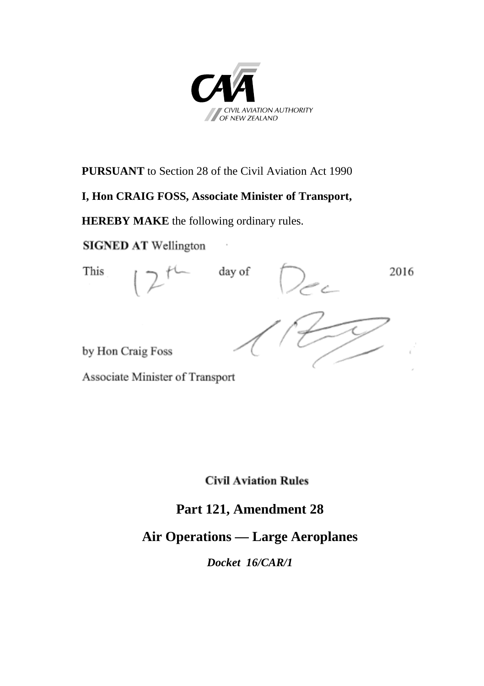

**PURSUANT** to Section 28 of the Civil Aviation Act 1990

#### **I, Hon CRAIG FOSS, Associate Minister of Transport,**

**HEREBY MAKE** the following ordinary rules.

**SIGNED AT Wellington** 

This day of 2016 by Hon Craig Foss

Associate Minister of Transport

**Civil Aviation Rules** 

## **Part 121, Amendment 28**

## **Air Operations — Large Aeroplanes**

*Docket 16/CAR/1*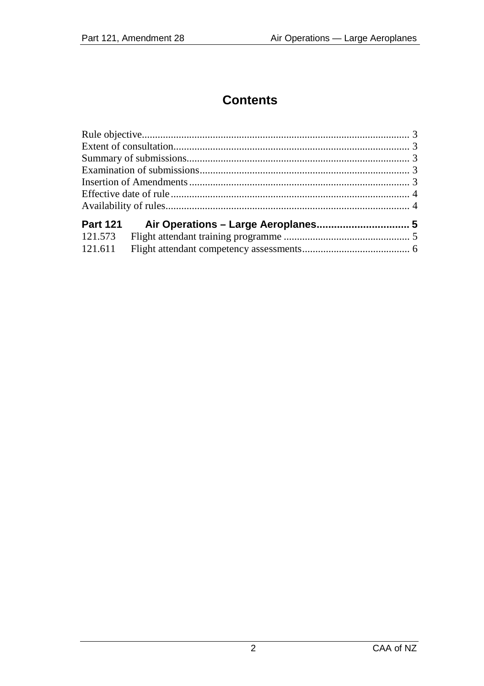# **Contents**

| <b>Part 121</b> |  |  |
|-----------------|--|--|
| 121.573         |  |  |
| 121.611         |  |  |
|                 |  |  |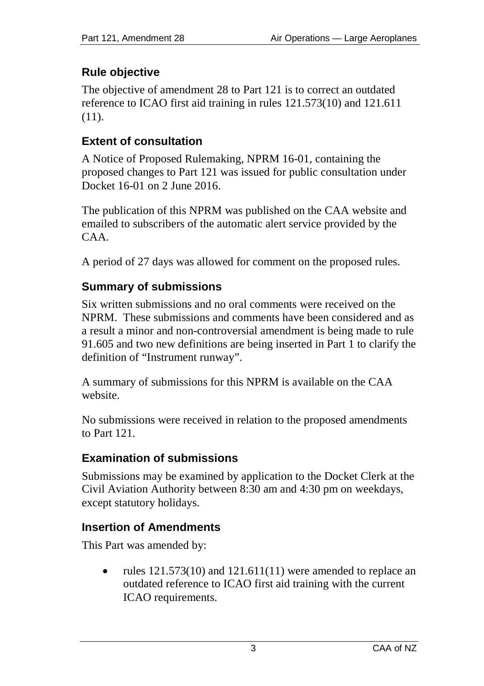## <span id="page-2-0"></span>**Rule objective**

The objective of amendment 28 to Part 121 is to correct an outdated reference to ICAO first aid training in rules 121.573(10) and 121.611 (11).

### <span id="page-2-1"></span>**Extent of consultation**

A Notice of Proposed Rulemaking, NPRM 16-01, containing the proposed changes to Part 121 was issued for public consultation under Docket 16-01 on 2 June 2016.

The publication of this NPRM was published on the CAA website and emailed to subscribers of the automatic alert service provided by the CAA.

A period of 27 days was allowed for comment on the proposed rules.

## <span id="page-2-2"></span>**Summary of submissions**

Six written submissions and no oral comments were received on the NPRM. These submissions and comments have been considered and as a result a minor and non-controversial amendment is being made to rule 91.605 and two new definitions are being inserted in Part 1 to clarify the definition of "Instrument runway".

A summary of submissions for this NPRM is available on the CAA website.

No submissions were received in relation to the proposed amendments to Part 121.

#### <span id="page-2-3"></span>**Examination of submissions**

Submissions may be examined by application to the Docket Clerk at the Civil Aviation Authority between 8:30 am and 4:30 pm on weekdays, except statutory holidays.

## <span id="page-2-4"></span>**Insertion of Amendments**

This Part was amended by:

rules  $121.573(10)$  and  $121.611(11)$  were amended to replace an outdated reference to ICAO first aid training with the current ICAO requirements.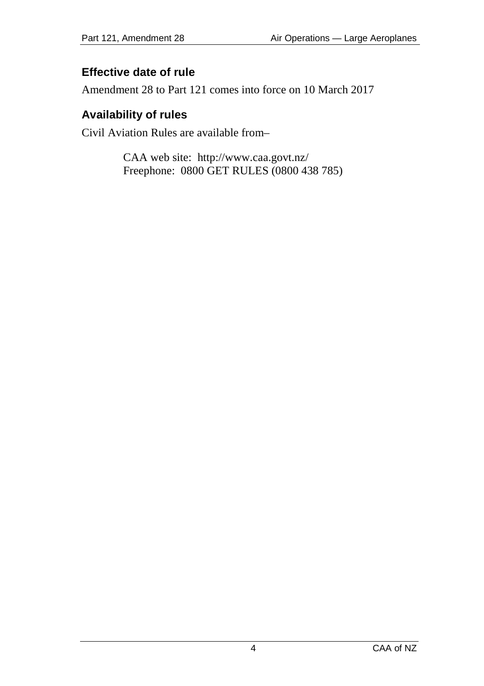### <span id="page-3-0"></span>**Effective date of rule**

Amendment 28 to Part 121 comes into force on 10 March 2017

#### <span id="page-3-1"></span>**Availability of rules**

Civil Aviation Rules are available from–

CAA web site: <http://www.caa.govt.nz/> Freephone: 0800 GET RULES (0800 438 785)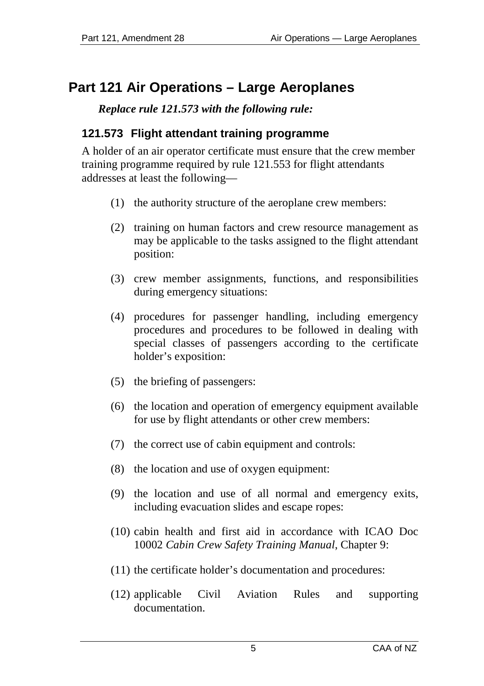# <span id="page-4-0"></span>**Part 121 Air Operations – Large Aeroplanes**

*Replace rule 121.573 with the following rule:*

### <span id="page-4-1"></span>**121.573 Flight attendant training programme**

A holder of an air operator certificate must ensure that the crew member training programme required by rule 121.553 for flight attendants addresses at least the following—

- (1) the authority structure of the aeroplane crew members:
- (2) training on human factors and crew resource management as may be applicable to the tasks assigned to the flight attendant position:
- (3) crew member assignments, functions, and responsibilities during emergency situations:
- (4) procedures for passenger handling, including emergency procedures and procedures to be followed in dealing with special classes of passengers according to the certificate holder's exposition:
- (5) the briefing of passengers:
- (6) the location and operation of emergency equipment available for use by flight attendants or other crew members:
- (7) the correct use of cabin equipment and controls:
- (8) the location and use of oxygen equipment:
- (9) the location and use of all normal and emergency exits, including evacuation slides and escape ropes:
- (10) cabin health and first aid in accordance with ICAO Doc 10002 *Cabin Crew Safety Training Manual*, Chapter 9:
- (11) the certificate holder's documentation and procedures:
- (12) applicable Civil Aviation Rules and supporting documentation.